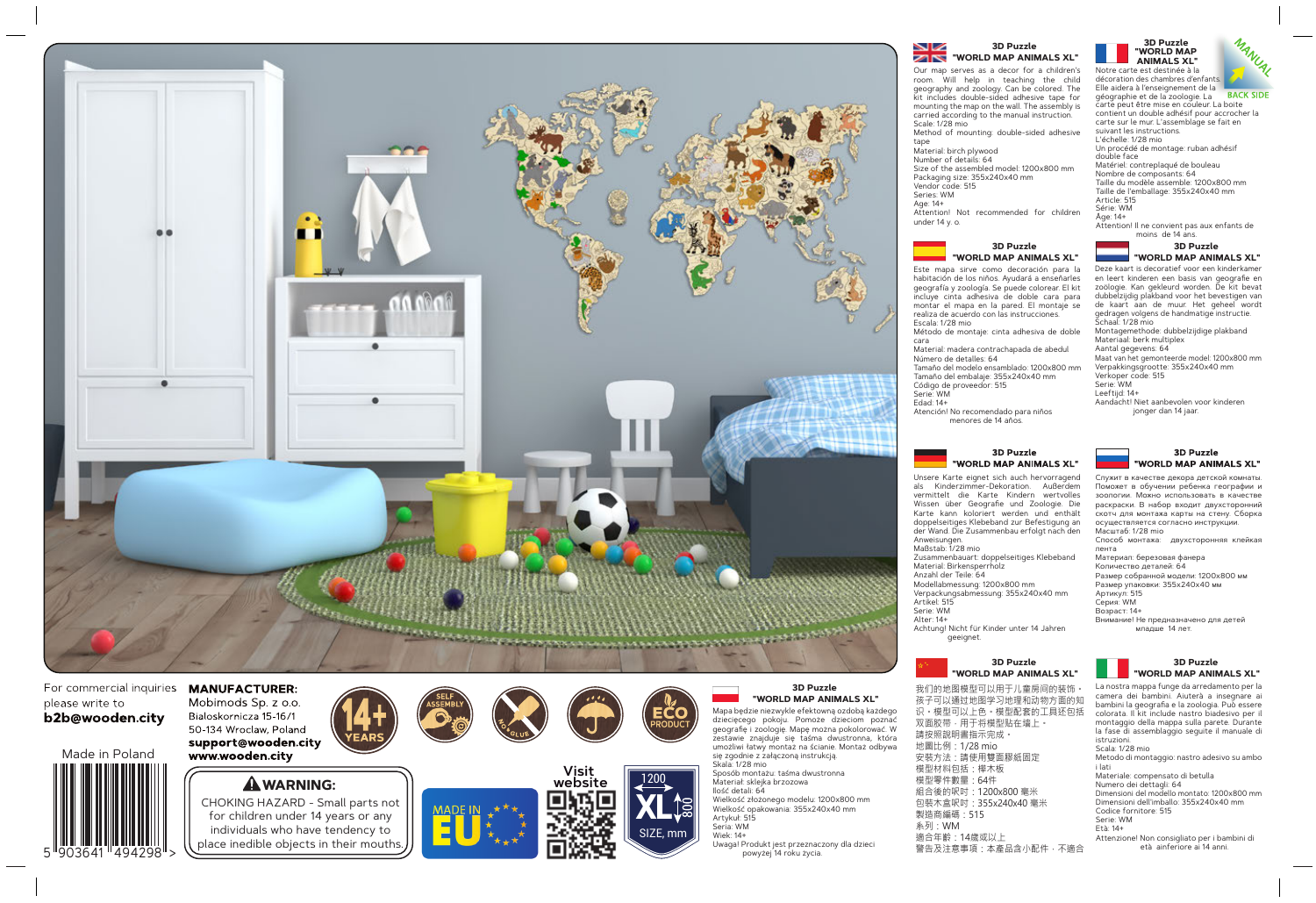

For commercial inquiries MANUFACTURER: please write to b2b@wooden.city



Mobimods Sp. z o.o. Bialoskornicza 15-16/1 50-134 Wroclaw, Poland support@wooden.city www.wooden.city

# **WARNING:**

CHOKING HAZARD - Small parts not for children under 14 years or any individuals who have tendency to place inedible objects in their mouths.











|                                                | <b>3D Puzzle</b> |  |  |  |
|------------------------------------------------|------------------|--|--|--|
| "WORLD MAP ANIMALS XL"                         |                  |  |  |  |
| Mapa będzie niezwykle efektowną ozdobą każdego |                  |  |  |  |
| dzieciecego pokoju. Pomoże dzieciom poznać     |                  |  |  |  |

powyżej 14 roku życia.

dziecięcego pokoju. Pomoże dzieciom poznać geografię i zoologię. Mapę można pokolorować. W zestawie znajduje się taśma dwustronna, która umożliwi łatwy montaż na ścianie. Montaż odbywa się zgodnie z załączoną instrukcją. Sposób montażu: taśma dwustronna Materiał: sklejka brzozowa Wielkość złożonego modelu: 1200x800 mm Wielkość opakowania: 355x240x40 mm Uwaga! Produkt jest przeznaczony dla dzieci

#### **"WORLD MAP ANIMALS XL"** ZK Our map serves as a decor for a children's

V

room. Will help in teaching the child geography and zoology. Can be colored. The kit includes double-sided adhesive tape for mounting the map on the wall. The assembly is carried according to the manual instruction. Scale: 1/28 mio Method of mounting: double-sided adhesive

**3D Puzzle** 

tape Material: birch plywood

Number of details: 64 Size of the assembled model: 1200x800 mm Packaging size: 355x240x40 mm Vendor code: 515 Series: WM Age: 14+ Attention! Not recommended for children under 14 y. o.



Este mapa sirve como decoración para la habitación de los niños. Ayudará a enseñarles geografía y zoología. Se puede colorear. El kit incluye cinta adhesiva de doble cara para montar el mapa en la pared. El montaje se realiza de acuerdo con las instrucciones. Escala: 1/28 mio Método de montaje: cinta adhesiva de doble

cara Material: madera contrachapada de abedul Número de detalles: 64 Tamaño del modelo ensamblado: 1200x800 mm Tamaño del embalaje: 355x240x40 mm Código de proveedor: 515 Serie: WM

Edad: 14+ Atención! No recomendado para niños menores de 14 años.

### **3D Puzzle WORLD MAP ANIMALS XL"**

Unsere Karte eignet sich auch hervorragend als Kinderzimmer-Dekoration. Außerdem vermittelt die Karte Kindern wertvolles Wissen über Geografie und Zoologie. Die Karte kann koloriert werden und enthält doppelseitiges Klebeband zur Befestigung an der Wand. Die Zusammenbau erfolgt nach den Anweisunger Maßstab: 1/28 mio Zusammenbauart: doppelseitiges Klebeband Material: Birkensperrholz Anzahl der Teile: 64 Modellabmessung: 1200x800 mm Verpackungsabmessung: 355x240x40 mm Artikel: 515 Serie: WM Alter: 14+ Achtung! Nicht für Kinder unter 14 Jahren geeignet.

#### **3D Puzzle "WORLD MAP ANIMALS XL"**

我们的地图模型可以用于儿童房间的装饰 孩子可以通过地图学习地理和动物方面的知 识。模型可以上色。模型配套的工具还包括 双面胶带,用于将模型贴在墙上。 請按照說明書指示完成 地圖比例:1/28 mio 安裝方法:請使用雙面膠紙固定 模型材料包括:樺木板 模型零件數量:64件 組合後的呎吋:1200x800 毫米 包裝木盒呎吋:355x240x40 毫米 製造商編碼:515 系列:WM 適合年齡:14歲或以上 警告及注意事項:本產品含小配件,不適合

## **3D Puzzle "WORLD MAP**

MANUAL **ANIMALS XL"** Notre carte est destinée à la décoration des chambres d'enfants. Elle aidera à l'enseignement de la **BACK SIDE** géographie et de la zoologie. La carte peut être mise en couleur. La boite contient un double adhésif pour accrocher la carte sur le mur. L'assemblage se fait en suivant les instructions. L'échelle: 1/28 mio Un procédé de montage: ruban adhésif

double face Matériel: contreplaqué de bouleau Nombre de composants: 64 Taille du modèle assemble: 1200x800 mm Taille de l'emballage: 355x240x40 mm Attention! Il ne convient pas aux enfants de



Deze kaart is decoratief voor een kinderkamer en leert kinderen een basis van geografie en zoölogie. Kan gekleurd worden. De kit bevat dubbelzijdig plakband voor het bevestigen van de kaart aan de muur. Het geheel wordt gedragen volgens de handmatige instructie. Schaal: 1/28 mio Montagemethode: dubbelzijdige plakband Materiaal: berk multiplex

Maat van het gemonteerde model: 1200x800 mm Verpakkingsgrootte: 355x240x40 mm

**3D Puzzle** 

Aandacht! Niet aanbevolen voor kinderen jonger dan 14 jaar.

"WORLD MAP ANIMALS XL" Служит в качестве декора детской комнаты. Поможет в обучении ребенка географии и зоологии. Можно использовать в качестве раскраски. В набор входит двухсторонний скотч для монтажа карты на стену. Сборка осуществляется согласно инструкции. Масштаб: 1/28 mio

Способ монтажа: двухсторонняя клейкая лента Материал: березовая фанера Количество деталей: 64 Размер собранной модели: 1200х800 мм Размер упаковки: 355х240х40 мм Артикул: 515 Серия: WM Возраст: 14+ Внимание! Не предназначено для детей младше 14 лет.

#### **3D Puzzle "WORLD MAP ANIMALS XL"**

La nostra mappa funge da arredamento per la camera dei bambini. Aiuterà a insegnare ai bambini la geografia e la zoologia. Può essere colorata. Il kit include nastro biadesivo per il montaggio della mappa sulla parete. Durante la fase di assemblaggio seguite il manuale di istruzioni. Scala: 1/28 mio Metodo di montaggio: nastro adesivo su ambo i lati Materiale: compensato di betulla Numero dei dettagli: 64 Dimensioni del modello montato: 1200x800 mm Dimensioni dell'imballo: 355x240x40 mm Codice fornitore: 515 Serie: WM Età: 14+ Attenzione! Non consigliato per i bambini di età ainferiore ai 14 anni.

Aantal gegevens: 64 Verkoper code: 515 Serie: WM Leeftijd: 14+